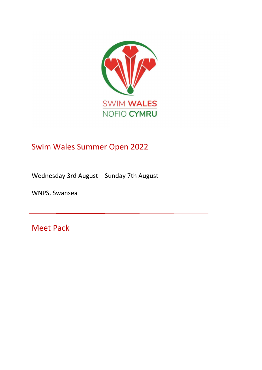

# Swim Wales Summer Open 2022

Wednesday 3rd August – Sunday 7th August

WNPS, Swansea

Meet Pack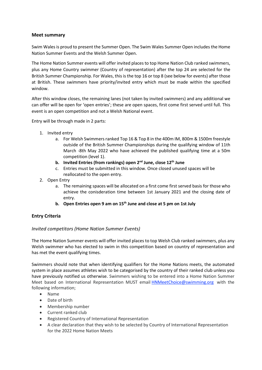# Meet summary

Swim Wales is proud to present the Summer Open. The Swim Wales Summer Open includes the Home Nation Summer Events and the Welsh Summer Open.

The Home Nation Summer events will offer invited places to top Home Nation Club ranked swimmers, plus any Home Country swimmer (Country of representation) after the top 24 are selected for the British Summer Championship. For Wales, this is the top 16 or top 8 (see below for events) after those at British. These swimmers have priority/invited entry which must be made within the specified window.

After this window closes, the remaining lanes (not taken by invited swimmers) and any additional we can offer will be open for 'open entries'; these are open spaces, first come first served until full. This event is an open competition and not a Welsh National event.

Entry will be through made in 2 parts:

- 1. Invited entry
	- a. For Welsh Swimmers ranked Top 16 & Top 8 in the 400m IM, 800m & 1500m freestyle outside of the British Summer Championships during the qualifying window of 11th March -8th May 2022 who have achieved the published qualifying time at a 50m competition (level 1).
	- b. Invited Entries (from rankings) open  $2^{nd}$  June, close  $12^{th}$  June
	- c. Entries must be submitted in this window. Once closed unused spaces will be reallocated to the open entry.
- 2. Open Entry
	- a. The remaining spaces will be allocated on a first come first served basis for those who achieve the conisderation time between 1st January 2021 and the closing date of entry.
	- b. Open Entries open 9 am on  $15<sup>th</sup>$  June and close at 5 pm on 1st July

# Entry Criteria

# Invited competitors (Home Nation Summer Events)

The Home Nation Summer events will offer invited places to top Welsh Club ranked swimmers, plus any Welsh swimmer who has elected to swim in this competition based on country of representation and has met the event qualifying times.

Swimmers should note that when identifying qualifiers for the Home Nations meets, the automated system in place assumes athletes wish to be categorised by the country of their ranked club unless you have previously notified us otherwise. Swimmers wishing to be entered into a Home Nation Summer Meet based on International Representation MUST email HNMeetChoice@swimming.org with the following information;

- Name
- Date of birth
- Membership number
- Current ranked club
- Registered Country of International Representation
- A clear declaration that they wish to be selected by Country of International Representation for the 2022 Home Nation Meets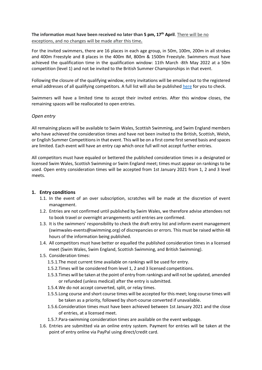The information must have been received no later than 5 pm,  $17<sup>th</sup>$  April. There will be no exceptions, and no changes will be made after this time.

For the invited swimmers, there are 16 places in each age group, in 50m, 100m, 200m in all strokes and 400m Freestyle and 8 places in the 400m IM, 800m & 1500m Freestyle. Swimmers must have achieved the qualification time in the qualification window: 11th March -8th May 2022 at a 50m competition (level 1) and not be invited to the British Summer Championships in that event.

Following the closure of the qualifying window, entry invitations will be emailed out to the registered email addresses of all qualifying competitors. A full list will also be published here for you to check.

Swimmers will have a limited time to accept their invited entries. After this window closes, the remaining spaces will be reallocated to open entries.

#### Open entry

All remaining places will be available to Swim Wales, Scottish Swimming, and Swim England members who have achieved the consideration times and have not been invited to the British, Scottish, Welsh, or English Summer Competitions in that event. This will be on a first come first served basis and spaces are limited. Each event will have an entry cap which once full will not accept further entries.

All competitors must have equaled or bettered the published consideration times in a designated or licensed Swim Wales, Scottish Swimming or Swim England meet; times must appear on rankings to be used. Open entry consideration times will be accepted from 1st January 2021 from 1, 2 and 3 level meets.

#### 1. Entry conditions

- 1.1. In the event of an over subscription, scratches will be made at the discretion of event management.
- 1.2. Entries are not confirmed until published by Swim Wales, we therefore advise attendees not to book travel or overnight arrangements until entries are confirmed.
- 1.3. It is the swimmers' responsibility to check the draft entry list and inform event management (swimwales-events@swimming.org) of discrepancies or errors. This must be raised within 48 hours of the information being published.
- 1.4. All competitors must have better or equalled the published consideration times in a licensed meet (Swim Wales, Swim England, Scottish Swimming, and British Swimming).
- 1.5. Consideration times:
	- 1.5.1.The most current time available on rankings will be used for entry.
	- 1.5.2.Times will be considered from level 1, 2 and 3 licensed competitions.
	- 1.5.3.Times will be taken at the point of entry from rankings and will not be updated, amended or refunded (unless medical) after the entry is submitted.
	- 1.5.4.We do not accept converted, split, or relay times.
	- 1.5.5.Long course and short course times will be accepted for this meet; long course times will be taken as a priority, followed by short-course converted if unavailable.
	- 1.5.6.Consideration times must have been achieved between 1st January 2021 and the close of entries, at a licensed meet.
	- 1.5.7.Para-swimming consideration times are available on the event webpage.
- 1.6. Entries are submitted via an online entry system. Payment for entries will be taken at the point of entry online via PayPal using direct/credit card.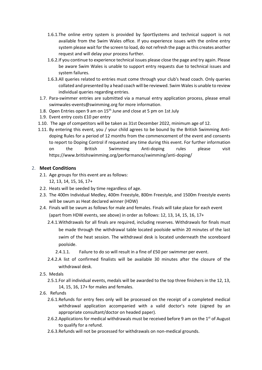- 1.6.1.The online entry system is provided by SportSystems and technical support is not available from the Swim Wales office. If you experience issues with the online entry system please wait for the screen to load, do not refresh the page as this creates another request and will delay your process further.
- 1.6.2.If you continue to experience technical issues please close the page and try again. Please be aware Swim Wales is unable to support entry requests due to technical issues and system failures.
- 1.6.3.All queries related to entries must come through your club's head coach. Only queries collated and presented by a head coach will be reviewed. Swim Wales is unable to review individual queries regarding entries.
- 1.7. Para-swimmer entries are submitted via a manual entry application process, please email swimwales-events@swimming.org for more information.
- 1.8. Open Entries open 9 am on  $15<sup>th</sup>$  June and close at 5 pm on 1st July
- 1.9. Event entry costs £10 per entry
- 1.10. The age of competitors will be taken as 31st December 2022, minimum age of 12.
- 1.11. By entering this event, you / your child agrees to be bound by the British Swimming Antidoping Rules for a period of 12 months from the commencement of the event and consents to report to Doping Control if requested any time during this event. For further information on the British Swimming Anti-doping rules please visit https://www.britishswimming.org/performance/swimming/anti-doping/

#### 2. Meet Conditions

- 2.1. Age groups for this event are as follows: 12, 13, 14, 15, 16, 17+
- 2.2. Heats will be seeded by time regardless of age.
- 2.3. The 400m Individual Medley, 400m Freestyle, 800m Freestyle, and 1500m Freestyle events will be swum as Heat declared winner (HDW)
- 2.4. Finals will be swum as follows for male and females. Finals will take place for each event (apart from HDW events, see above) in order as follows: 12, 13, 14, 15, 16, 17+
	- 2.4.1.Withdrawals for all finals are required, including reserves. Withdrawals for finals must be made through the withdrawal table located poolside within 20 minutes of the last swim of the heat session. The withdrawal desk is located underneath the scoreboard poolside.
		- 2.4.1.1. Failure to do so will result in a fine of £50 per swimmer per event.
	- 2.4.2.A list of confirmed finalists will be available 30 minutes after the closure of the withdrawal desk.
- 2.5. Medals
	- 2.5.1.For all individual events, medals will be awarded to the top three finishers in the 12, 13, 14, 15, 16, 17+ for males and females.
- 2.6. Refunds
	- 2.6.1.Refunds for entry fees only will be processed on the receipt of a completed medical withdrawal application accompanied with a valid doctor's note (signed by an appropriate consultant/doctor on headed paper).
	- 2.6.2. Applications for medical withdrawals must be received before 9 am on the  $1<sup>st</sup>$  of August to qualify for a refund.
	- 2.6.3.Refunds will not be processed for withdrawals on non-medical grounds.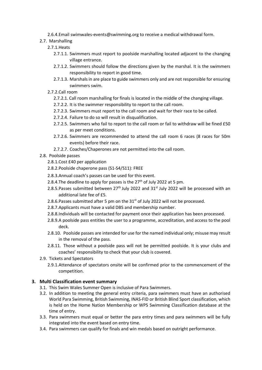2.6.4.Email swimwales-events@swimming.org to receive a medical withdrawal form.

- 2.7. Marshalling
	- 2.7.1.Heats
		- 2.7.1.1. Swimmers must report to poolside marshalling located adjacent to the changing village entrance.
		- 2.7.1.2. Swimmers should follow the directions given by the marshal. It is the swimmers responsibility to report in good time.
		- 2.7.1.3. Marshals in are place to guide swimmers only and are not responsible for ensuring swimmers swim.
	- 2.7.2.Call room
		- 2.7.2.1. Call room marshalling for finals is located in the middle of the changing village.
		- 2.7.2.2. It is the swimmer responsibility to report to the call room.
		- 2.7.2.3. Swimmers must report to the call room and wait for their race to be called.
		- 2.7.2.4. Failure to do so will result in disqualification.
		- 2.7.2.5. Swimmers who fail to report to the call room or fail to withdraw will be fined £50 as per meet conditions.
		- 2.7.2.6. Swimmers are recommended to attend the call room 6 races (8 races for 50m events) before their race.
		- 2.7.2.7. Coaches/Chaperones are not permitted into the call room.
- 2.8. Poolside passes
	- 2.8.1.Cost £40 per application
	- 2.8.2.Poolside chaperone pass (S1-S4/S11): FREE
	- 2.8.3.Annual coach's passes can be used for this event.
	- 2.8.4. The deadline to apply for passes is the  $27<sup>th</sup>$  of July 2022 at 5 pm.
	- 2.8.5. Passes submitted between  $27<sup>th</sup>$  July 2022 and  $31<sup>st</sup>$  July 2022 will be processed with an additional late fee of £5.
	- 2.8.6. Passes submitted after 5 pm on the  $31^{st}$  of July 2022 will not be processed.
	- 2.8.7.Applicants must have a valid DBS and membership number.
	- 2.8.8.Individuals will be contacted for payment once their application has been processed.
	- 2.8.9.A poolside pass entitles the user to a programme, accreditation, and access to the pool deck.
	- 2.8.10. Poolside passes are intended for use for the named individual only; misuse may result in the removal of the pass.
	- 2.8.11. Those without a poolside pass will not be permitted poolside. It is your clubs and coaches' responsibility to check that your club is covered.
- 2.9. Tickets and Spectators
	- 2.9.1.Attendance of spectators onsite will be confirmed prior to the commencement of the competition.

# 3. Multi Classification event summary

- 3.1. This Swim Wales Summer Open is inclusive of Para Swimmers.
- 3.2. In addition to meeting the general entry criteria, para swimmers must have an authorised World Para Swimming, British Swimming, INAS-FID or British Blind Sport classification, which is held on the Home Nation Membership or WPS Swimming Classification database at the time of entry.
- 3.3. Para swimmers must equal or better the para entry times and para swimmers will be fully integrated into the event based on entry time.
- 3.4. Para swimmers can qualify for finals and win medals based on outright performance.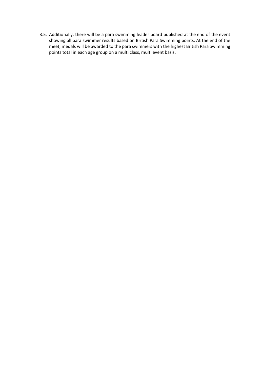3.5. Additionally, there will be a para swimming leader board published at the end of the event showing all para swimmer results based on British Para Swimming points. At the end of the meet, medals will be awarded to the para swimmers with the highest British Para Swimming points total in each age group on a multi class, multi event basis.